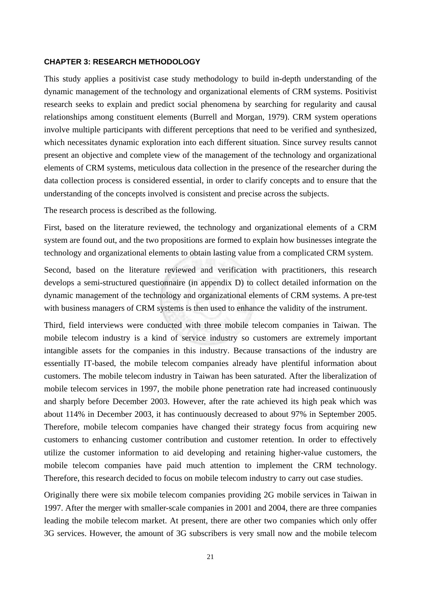## **CHAPTER 3: RESEARCH METHODOLOGY**

This study applies a positivist case study methodology to build in-depth understanding of the dynamic management of the technology and organizational elements of CRM systems. Positivist research seeks to explain and predict social phenomena by searching for regularity and causal relationships among constituent elements (Burrell and Morgan, 1979). CRM system operations involve multiple participants with different perceptions that need to be verified and synthesized, which necessitates dynamic exploration into each different situation. Since survey results cannot present an objective and complete view of the management of the technology and organizational elements of CRM systems, meticulous data collection in the presence of the researcher during the data collection process is considered essential, in order to clarify concepts and to ensure that the understanding of the concepts involved is consistent and precise across the subjects.

The research process is described as the following.

First, based on the literature reviewed, the technology and organizational elements of a CRM system are found out, and the two propositions are formed to explain how businesses integrate the technology and organizational elements to obtain lasting value from a complicated CRM system.

Second, based on the literature reviewed and verification with practitioners, this research develops a semi-structured questionnaire (in appendix D) to collect detailed information on the dynamic management of the technology and organizational elements of CRM systems. A pre-test with business managers of CRM systems is then used to enhance the validity of the instrument.

Third, field interviews were conducted with three mobile telecom companies in Taiwan. The mobile telecom industry is a kind of service industry so customers are extremely important intangible assets for the companies in this industry. Because transactions of the industry are essentially IT-based, the mobile telecom companies already have plentiful information about customers. The mobile telecom industry in Taiwan has been saturated. After the liberalization of mobile telecom services in 1997, the mobile phone penetration rate had increased continuously and sharply before December 2003. However, after the rate achieved its high peak which was about 114% in December 2003, it has continuously decreased to about 97% in September 2005. Therefore, mobile telecom companies have changed their strategy focus from acquiring new customers to enhancing customer contribution and customer retention. In order to effectively utilize the customer information to aid developing and retaining higher-value customers, the mobile telecom companies have paid much attention to implement the CRM technology. Therefore, this research decided to focus on mobile telecom industry to carry out case studies.

Originally there were six mobile telecom companies providing 2G mobile services in Taiwan in 1997. After the merger with smaller-scale companies in 2001 and 2004, there are three companies leading the mobile telecom market. At present, there are other two companies which only offer 3G services. However, the amount of 3G subscribers is very small now and the mobile telecom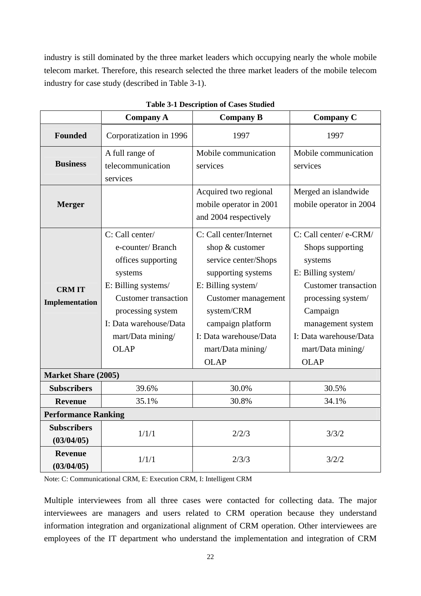industry is still dominated by the three market leaders which occupying nearly the whole mobile telecom market. Therefore, this research selected the three market leaders of the mobile telecom industry for case study (described in Table 3-1).

|                                  | <b>Company A</b>                                                                                                                                                                                              | <b>Company B</b>                                                                                                                                                                                                                       | <b>Company C</b>                                                                                                                                                                                                                |  |  |  |
|----------------------------------|---------------------------------------------------------------------------------------------------------------------------------------------------------------------------------------------------------------|----------------------------------------------------------------------------------------------------------------------------------------------------------------------------------------------------------------------------------------|---------------------------------------------------------------------------------------------------------------------------------------------------------------------------------------------------------------------------------|--|--|--|
| <b>Founded</b>                   | Corporatization in 1996                                                                                                                                                                                       | 1997                                                                                                                                                                                                                                   | 1997                                                                                                                                                                                                                            |  |  |  |
| <b>Business</b>                  | A full range of<br>telecommunication<br>services                                                                                                                                                              | Mobile communication<br>services                                                                                                                                                                                                       | Mobile communication<br>services                                                                                                                                                                                                |  |  |  |
| <b>Merger</b>                    |                                                                                                                                                                                                               | Acquired two regional<br>mobile operator in 2001<br>and 2004 respectively                                                                                                                                                              | Merged an islandwide<br>mobile operator in 2004                                                                                                                                                                                 |  |  |  |
| <b>CRMIT</b><br>Implementation   | C: Call center/<br>e-counter/Branch<br>offices supporting<br>systems<br>E: Billing systems/<br><b>Customer transaction</b><br>processing system<br>I: Data warehouse/Data<br>mart/Data mining/<br><b>OLAP</b> | C: Call center/Internet<br>shop & customer<br>service center/Shops<br>supporting systems<br>E: Billing system/<br>Customer management<br>system/CRM<br>campaign platform<br>I: Data warehouse/Data<br>mart/Data mining/<br><b>OLAP</b> | C: Call center/ e-CRM/<br>Shops supporting<br>systems<br>E: Billing system/<br><b>Customer transaction</b><br>processing system/<br>Campaign<br>management system<br>I: Data warehouse/Data<br>mart/Data mining/<br><b>OLAP</b> |  |  |  |
| <b>Market Share (2005)</b>       |                                                                                                                                                                                                               |                                                                                                                                                                                                                                        |                                                                                                                                                                                                                                 |  |  |  |
| <b>Subscribers</b>               | 39.6%                                                                                                                                                                                                         | 30.0%                                                                                                                                                                                                                                  | 30.5%                                                                                                                                                                                                                           |  |  |  |
| Revenue                          | 35.1%                                                                                                                                                                                                         | 30.8%                                                                                                                                                                                                                                  | 34.1%                                                                                                                                                                                                                           |  |  |  |
| <b>Performance Ranking</b>       |                                                                                                                                                                                                               |                                                                                                                                                                                                                                        |                                                                                                                                                                                                                                 |  |  |  |
| <b>Subscribers</b><br>(03/04/05) | 1/1/1                                                                                                                                                                                                         | 2/2/3                                                                                                                                                                                                                                  | 3/3/2                                                                                                                                                                                                                           |  |  |  |
| <b>Revenue</b><br>(03/04/05)     | 1/1/1                                                                                                                                                                                                         | 2/3/3                                                                                                                                                                                                                                  | 3/2/2                                                                                                                                                                                                                           |  |  |  |

**Table 3-1 Description of Cases Studied**

Note: C: Communicational CRM, E: Execution CRM, I: Intelligent CRM

Multiple interviewees from all three cases were contacted for collecting data. The major interviewees are managers and users related to CRM operation because they understand information integration and organizational alignment of CRM operation. Other interviewees are employees of the IT department who understand the implementation and integration of CRM